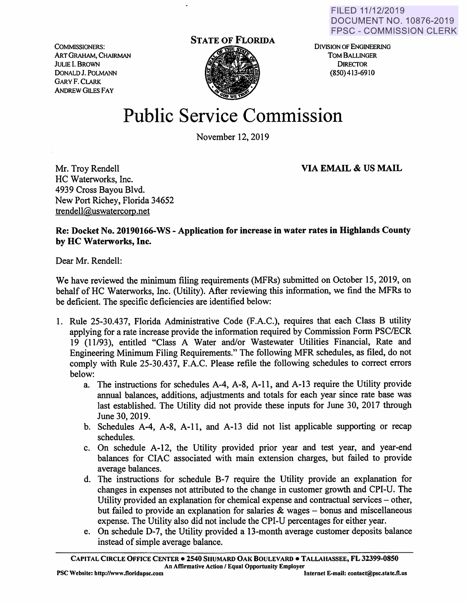COMMISSIONERS: ART GRAHAM, CHAIRMAN JULIE I. BROWN DONALDJ. POLMANN GARYF.CLARK ANDREW GILES FAY



DIVISION OF ENGINEERING TOM BALLINGER **DIRECTOR** (850) 413-6910

## **Public Service Commission**

November 12, 2019

**VIA EMAIL** & **US MAIL** 

Mr. Troy Rendell HC Waterworks, Inc. 4939 Cross Bayou Blvd. New Port Richey, Florida 34652 trendell@uswatercorp.net

**Re: Docket No. 20190166-WS -Application for increase in water rates in Highlands County by HC Waterworks, Inc.** 

Dear Mr. Rendell:

We have reviewed the minimum filing requirements (MFRs) submitted on October 15, 2019, on behalf of HC Waterworks, Inc. (Utility). After reviewing this information, we find the MFRs to be deficient. The specific deficiencies are identified below:

- 1. Rule 25-30.437, Florida Administrative Code (F.A.C.), requires that each Class B utility applying for a rate increase provide the information required by Commission Form PSC/ECR 19 (11/93), entitled "Class A Water and/or Wastewater Utilities Financial, Rate and Engineering Minimum Filing Requirements." The following MFR schedules, as filed, do not comply with Rule 25-30.437, F.A.C. Please refile the following schedules to correct errors below:
	- a. The instructions for schedules A-4, A-8, A-11, and A-13 require the Utility provide annual balances, additions, adjustments and totals for each year since rate base was last established. The Utility did not provide these inputs for June 30, 2017 through June 30, 2019.
	- b. Schedules A-4, **A-8,** A-11, and A-13 did not list applicable supporting or recap schedules.
	- c. On schedule A-12, the Utility provided prior year and test year, and year-end balances for CIAC associated with main extension charges, but failed to provide average balances.
	- d. The instructions for schedule 8-7 require the Utility provide an explanation for changes in expenses not attributed to the change in customer growth and CPI-U. The Utility provided an explanation for chemical expense and contractual services – other, but failed to provide an explanation for salaries  $\&$  wages – bonus and miscellaneous expense. The Utility also did not include the CPI-U percentages for either year.
	- e. On schedule D-7, the Utility provided a 13-month average customer deposits balance instead of simple average balance.